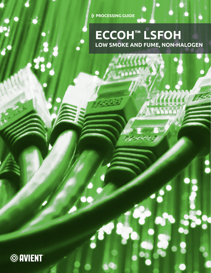**PROCESSING GUIDE**

## **ECCOH™ LSFOH LOW SMOKE AND FUME, NON-HALOGEN**